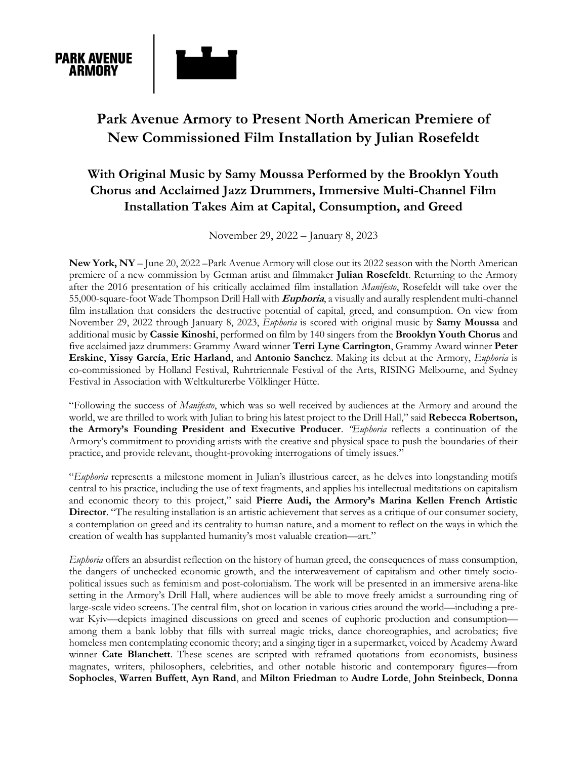

# **Park Avenue Armory to Present North American Premiere of New Commissioned Film Installation by Julian Rosefeldt**

## **With Original Music by Samy Moussa Performed by the Brooklyn Youth Chorus and Acclaimed Jazz Drummers, Immersive Multi-Channel Film Installation Takes Aim at Capital, Consumption, and Greed**

November 29, 2022 – January 8, 2023

**New York, NY** – June 20, 2022 –Park Avenue Armory will close out its 2022 season with the North American premiere of a new commission by German artist and filmmaker **Julian Rosefeldt**. Returning to the Armory after the 2016 presentation of his critically acclaimed film installation *Manifesto*, Rosefeldt will take over the 55,000-square-foot Wade Thompson Drill Hall with **Euphoria**, a visually and aurally resplendent multi-channel film installation that considers the destructive potential of capital, greed, and consumption. On view from November 29, 2022 through January 8, 2023, *Euphoria* is scored with original music by **Samy Moussa** and additional music by **Cassie Kinoshi**, performed on film by 140 singers from the **Brooklyn Youth Chorus** and five acclaimed jazz drummers: Grammy Award winner **Terri Lyne Carrington**, Grammy Award winner **Peter Erskine**, **Yissy García**, **Eric Harland**, and **Antonio Sanchez**. Making its debut at the Armory, *Euphoria* is co-commissioned by Holland Festival, Ruhrtriennale Festival of the Arts, RISING Melbourne, and Sydney Festival in Association with Weltkulturerbe Völklinger Hütte.

"Following the success of *Manifesto*, which was so well received by audiences at the Armory and around the world, we are thrilled to work with Julian to bring his latest project to the Drill Hall," said **Rebecca Robertson, the Armory's Founding President and Executive Producer**. *"Euphoria* reflects a continuation of the Armory's commitment to providing artists with the creative and physical space to push the boundaries of their practice, and provide relevant, thought-provoking interrogations of timely issues."

"*Euphoria* represents a milestone moment in Julian's illustrious career, as he delves into longstanding motifs central to his practice, including the use of text fragments, and applies his intellectual meditations on capitalism and economic theory to this project," said **Pierre Audi, the Armory's Marina Kellen French Artistic Director**. "The resulting installation is an artistic achievement that serves as a critique of our consumer society, a contemplation on greed and its centrality to human nature, and a moment to reflect on the ways in which the creation of wealth has supplanted humanity's most valuable creation—art."

*Euphoria* offers an absurdist reflection on the history of human greed, the consequences of mass consumption, the dangers of unchecked economic growth, and the interweavement of capitalism and other timely sociopolitical issues such as feminism and post-colonialism. The work will be presented in an immersive arena-like setting in the Armory's Drill Hall, where audiences will be able to move freely amidst a surrounding ring of large-scale video screens. The central film, shot on location in various cities around the world—including a prewar Kyiv—depicts imagined discussions on greed and scenes of euphoric production and consumption among them a bank lobby that fills with surreal magic tricks, dance choreographies, and acrobatics; five homeless men contemplating economic theory; and a singing tiger in a supermarket, voiced by Academy Award winner **Cate Blanchett**. These scenes are scripted with reframed quotations from economists, business magnates, writers, philosophers, celebrities, and other notable historic and contemporary figures—from **Sophocles**, **Warren Buffett**, **Ayn Rand**, and **Milton Friedman** to **Audre Lorde**, **John Steinbeck**, **Donna**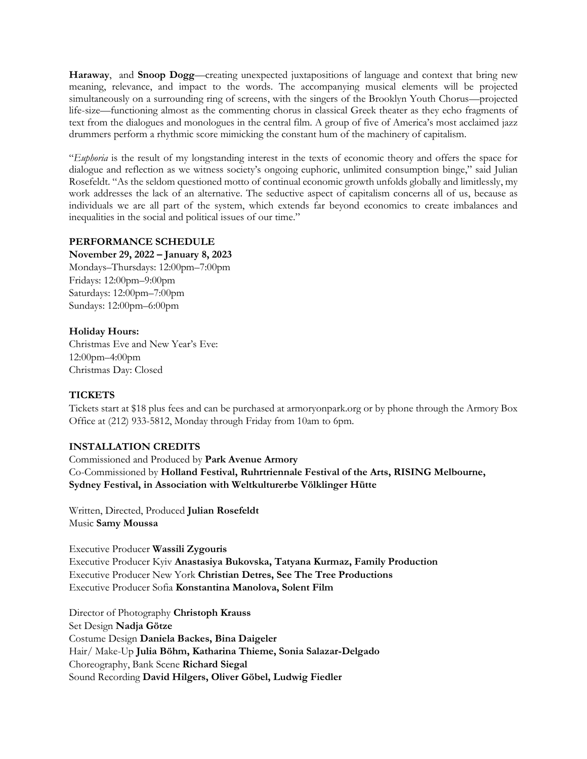**Haraway**, and **Snoop Dogg**—creating unexpected juxtapositions of language and context that bring new meaning, relevance, and impact to the words. The accompanying musical elements will be projected simultaneously on a surrounding ring of screens, with the singers of the Brooklyn Youth Chorus—projected life-size—functioning almost as the commenting chorus in classical Greek theater as they echo fragments of text from the dialogues and monologues in the central film. A group of five of America's most acclaimed jazz drummers perform a rhythmic score mimicking the constant hum of the machinery of capitalism.

"*Euphoria* is the result of my longstanding interest in the texts of economic theory and offers the space for dialogue and reflection as we witness society's ongoing euphoric, unlimited consumption binge," said Julian Rosefeldt. "As the seldom questioned motto of continual economic growth unfolds globally and limitlessly, my work addresses the lack of an alternative. The seductive aspect of capitalism concerns all of us, because as individuals we are all part of the system, which extends far beyond economics to create imbalances and inequalities in the social and political issues of our time."

#### **PERFORMANCE SCHEDULE**

#### **November 29, 2022 – January 8, 2023**

Mondays–Thursdays: 12:00pm–7:00pm Fridays: 12:00pm–9:00pm Saturdays: 12:00pm–7:00pm Sundays: 12:00pm–6:00pm

#### **Holiday Hours:**

Christmas Eve and New Year's Eve: 12:00pm–4:00pm Christmas Day: Closed

## **TICKETS**

Tickets start at \$18 plus fees and can be purchased at armoryonpark.org or by phone through the Armory Box Office at (212) 933-5812, Monday through Friday from 10am to 6pm.

## **INSTALLATION CREDITS**

Commissioned and Produced by **Park Avenue Armory** Co-Commissioned by **Holland Festival, Ruhrtriennale Festival of the Arts, RISING Melbourne, Sydney Festival, in Association with Weltkulturerbe Völklinger Hütte**

Written, Directed, Produced **Julian Rosefeldt** Music **Samy Moussa**

Executive Producer **Wassili Zygouris** Executive Producer Kyiv **Anastasiya Bukovska, Tatyana Kurmaz, Family Production** Executive Producer New York **Christian Detres, See The Tree Productions** Executive Producer Sofia **Konstantina Manolova, Solent Film**

Director of Photography **Christoph Krauss** Set Design **Nadja Götze** Costume Design **Daniela Backes, Bina Daigeler** Hair/ Make-Up **Julia Böhm, Katharina Thieme, Sonia Salazar-Delgado** Choreography, Bank Scene **Richard Siegal** Sound Recording **David Hilgers, Oliver Göbel, Ludwig Fiedler**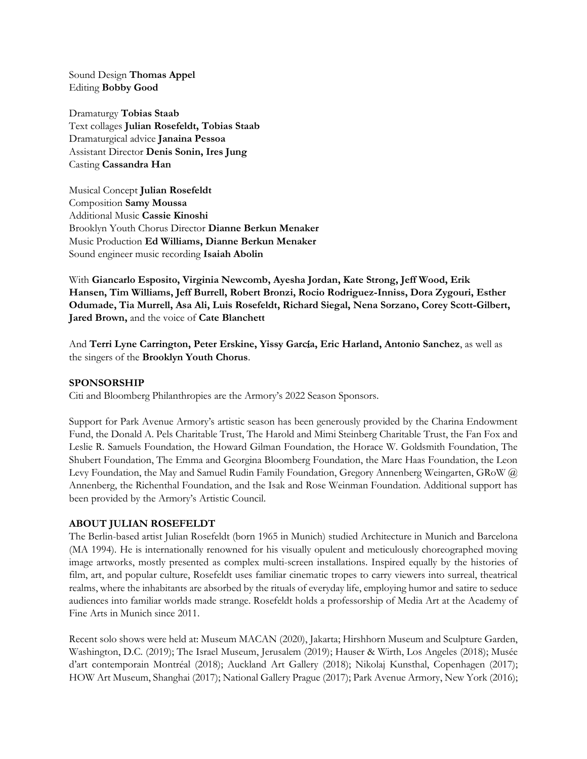Sound Design **Thomas Appel** Editing **Bobby Good**

Dramaturgy **Tobias Staab** Text collages **Julian Rosefeldt, Tobias Staab** Dramaturgical advice **Janaina Pessoa** Assistant Director **Denis Sonin, Ires Jung** Casting **Cassandra Han**

Musical Concept **Julian Rosefeldt** Composition **Samy Moussa** Additional Music **Cassie Kinoshi** Brooklyn Youth Chorus Director **Dianne Berkun Menaker** Music Production **Ed Williams, Dianne Berkun Menaker** Sound engineer music recording **Isaiah Abolin**

With **Giancarlo Esposito, Virginia Newcomb, Ayesha Jordan, Kate Strong, Jeff Wood, Erik Hansen, Tim Williams, Jeff Burrell, Robert Bronzi, Rocio Rodriguez-Inniss, Dora Zygouri, Esther Odumade, Tia Murrell, Asa Ali, Luis Rosefeldt, Richard Siegal, Nena Sorzano, Corey Scott-Gilbert, Jared Brown,** and the voice of **Cate Blanchett**

And **Terri Lyne Carrington, Peter Erskine, Yissy Garc**í**a, Eric Harland, Antonio Sanchez**, as well as the singers of the **Brooklyn Youth Chorus**.

#### **SPONSORSHIP**

Citi and Bloomberg Philanthropies are the Armory's 2022 Season Sponsors.

Support for Park Avenue Armory's artistic season has been generously provided by the Charina Endowment Fund, the Donald A. Pels Charitable Trust, The Harold and Mimi Steinberg Charitable Trust, the Fan Fox and Leslie R. Samuels Foundation, the Howard Gilman Foundation, the Horace W. Goldsmith Foundation, The Shubert Foundation, The Emma and Georgina Bloomberg Foundation, the Marc Haas Foundation, the Leon Levy Foundation, the May and Samuel Rudin Family Foundation, Gregory Annenberg Weingarten, GRoW @ Annenberg, the Richenthal Foundation, and the Isak and Rose Weinman Foundation. Additional support has been provided by the Armory's Artistic Council.

#### **ABOUT JULIAN ROSEFELDT**

The Berlin-based artist Julian Rosefeldt (born 1965 in Munich) studied Architecture in Munich and Barcelona (MA 1994). He is internationally renowned for his visually opulent and meticulously choreographed moving image artworks, mostly presented as complex multi-screen installations. Inspired equally by the histories of film, art, and popular culture, Rosefeldt uses familiar cinematic tropes to carry viewers into surreal, theatrical realms, where the inhabitants are absorbed by the rituals of everyday life, employing humor and satire to seduce audiences into familiar worlds made strange. Rosefeldt holds a professorship of Media Art at the Academy of Fine Arts in Munich since 2011.

Recent solo shows were held at: Museum MACAN (2020), Jakarta; Hirshhorn Museum and Sculpture Garden, Washington, D.C. (2019); The Israel Museum, Jerusalem (2019); Hauser & Wirth, Los Angeles (2018); Musée d'art contemporain Montréal (2018); Auckland Art Gallery (2018); Nikolaj Kunsthal, Copenhagen (2017); HOW Art Museum, Shanghai (2017); National Gallery Prague (2017); Park Avenue Armory, New York (2016);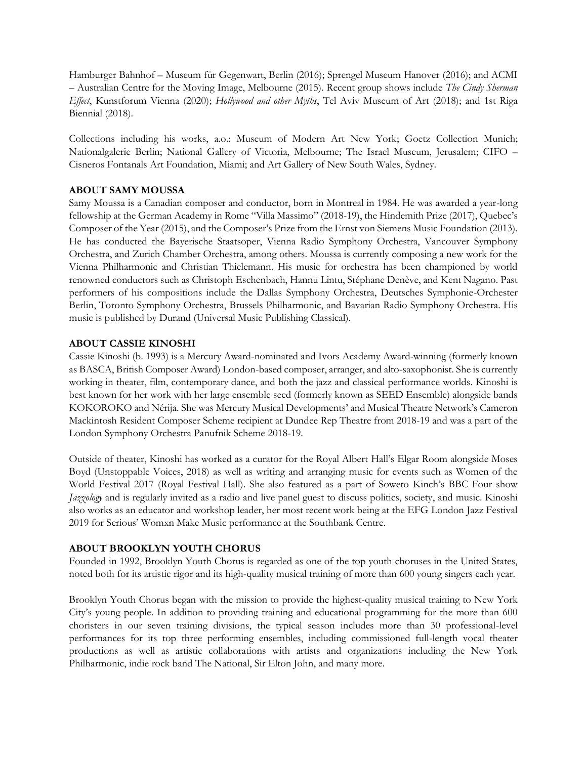Hamburger Bahnhof – Museum für Gegenwart, Berlin (2016); Sprengel Museum Hanover (2016); and ACMI – Australian Centre for the Moving Image, Melbourne (2015). Recent group shows include *The Cindy Sherman Effect*, Kunstforum Vienna (2020); *Hollywood and other Myths*, Tel Aviv Museum of Art (2018); and 1st Riga Biennial (2018).

Collections including his works, a.o.: Museum of Modern Art New York; Goetz Collection Munich; Nationalgalerie Berlin; National Gallery of Victoria, Melbourne; The Israel Museum, Jerusalem; CIFO – Cisneros Fontanals Art Foundation, Miami; and Art Gallery of New South Wales, Sydney.

## **ABOUT SAMY MOUSSA**

Samy Moussa is a Canadian composer and conductor, born in Montreal in 1984. He was awarded a year-long fellowship at the German Academy in Rome "Villa Massimo" (2018-19), the Hindemith Prize (2017), Quebec's Composer of the Year (2015), and the Composer's Prize from the Ernst von Siemens Music Foundation (2013). He has conducted the Bayerische Staatsoper, Vienna Radio Symphony Orchestra, Vancouver Symphony Orchestra, and Zurich Chamber Orchestra, among others. Moussa is currently composing a new work for the Vienna Philharmonic and Christian Thielemann. His music for orchestra has been championed by world renowned conductors such as Christoph Eschenbach, Hannu Lintu, Stéphane Denève, and Kent Nagano. Past performers of his compositions include the Dallas Symphony Orchestra, Deutsches Symphonie-Orchester Berlin, Toronto Symphony Orchestra, Brussels Philharmonic, and Bavarian Radio Symphony Orchestra. His music is published by Durand (Universal Music Publishing Classical).

## **ABOUT CASSIE KINOSHI**

Cassie Kinoshi (b. 1993) is a Mercury Award-nominated and Ivors Academy Award-winning (formerly known as BASCA, British Composer Award) London-based composer, arranger, and alto-saxophonist. She is currently working in theater, film, contemporary dance, and both the jazz and classical performance worlds. Kinoshi is best known for her work with her large ensemble seed (formerly known as SEED Ensemble) alongside bands KOKOROKO and Nérija. She was Mercury Musical Developments' and Musical Theatre Network's Cameron Mackintosh Resident Composer Scheme recipient at Dundee Rep Theatre from 2018-19 and was a part of the London Symphony Orchestra Panufnik Scheme 2018-19.

Outside of theater, Kinoshi has worked as a curator for the Royal Albert Hall's Elgar Room alongside Moses Boyd (Unstoppable Voices, 2018) as well as writing and arranging music for events such as Women of the World Festival 2017 (Royal Festival Hall). She also featured as a part of Soweto Kinch's BBC Four show *Jazzology* and is regularly invited as a radio and live panel guest to discuss politics, society, and music. Kinoshi also works as an educator and workshop leader, her most recent work being at the EFG London Jazz Festival 2019 for Serious' Womxn Make Music performance at the Southbank Centre.

## **ABOUT BROOKLYN YOUTH CHORUS**

Founded in 1992, Brooklyn Youth Chorus is regarded as one of the top youth choruses in the United States, noted both for its artistic rigor and its high-quality musical training of more than 600 young singers each year.

Brooklyn Youth Chorus began with the mission to provide the highest-quality musical training to New York City's young people. In addition to providing training and educational programming for the more than 600 choristers in our seven training divisions, the typical season includes more than 30 professional-level performances for its top three performing ensembles, including commissioned full-length vocal theater productions as well as artistic collaborations with artists and organizations including the New York Philharmonic, indie rock band The National, Sir Elton John, and many more.